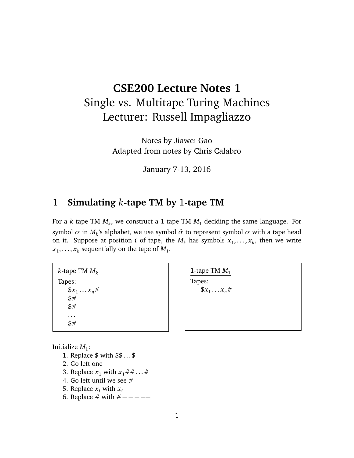# **CSE200 Lecture Notes 1** Single vs. Multitape Turing Machines Lecturer: Russell Impagliazzo

Notes by Jiawei Gao Adapted from notes by Chris Calabro

January 7-13, 2016

## **1 Simulating** *k***-tape TM by** 1**-tape TM**

For a *k*-tape TM *M<sup>k</sup>* , we construct a 1-tape TM *M*<sup>1</sup> deciding the same language. For symbol  $\sigma$  in  $M_k$ 's alphabet, we use symbol  $\sigma$  to represent symbol  $\sigma$  with a tape head on it. Suppose at position *i* of tape, the  $M_k$  has symbols  $x_1, \ldots, x_k$ , then we write  $x_1, \ldots, x_k$  sequentially on the tape of  $M_1$ .

*k*-tape TM *M<sup>k</sup>* Tapes:  $\oint x_1 \ldots x_n \#$ \$# \$# . . . \$#

Initialize  $M_1$ :

- 1. Replace \$ with \$\$ . . . \$
- 2. Go left one
- 3. Replace  $x_1$  with  $x_1 \# \# \dots \#$
- 4. Go left until we see #
- 5. Replace  $x_i$  with  $x_i$  – –
- 6. Replace # with  $# --- ---$

1-tape TM  $M_1$ Tapes:  $\$_{x_1\ldots x_n\#}$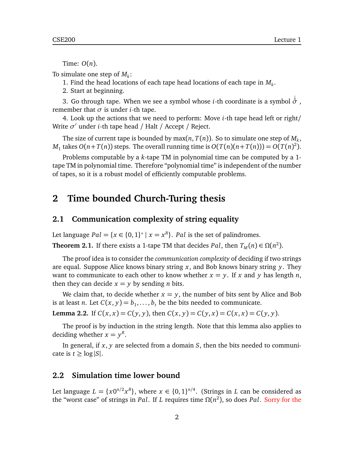Time: *O*(*n*).

To simulate one step of *M<sup>k</sup>* :

1. Find the head locations of each tape head locations of each tape in *M<sup>k</sup>* .

2. Start at beginning.

3. Go through tape. When we see a symbol whose *<sup>i</sup>*-th coordinate is a symbol <sup>↓</sup> *σ* , remember that  $\sigma$  is under *i*-th tape.

4. Look up the actions that we need to perform: Move *i*-th tape head left or right/ Write *σ'* under *i*-th tape head / Halt / Accept / Reject.

The size of current tape is bounded by  $\max(n,T(n))$ . So to simulate one step of  $M_k$ , *M*<sub>1</sub> takes  $O(n+T(n))$  steps. The overall running time is  $O(T(n)(n+T(n))) = O(T(n)^2)$ .

Problems computable by a *k*-tape TM in polynomial time can be computed by a 1 tape TM in polynomial time. Therefore "polynomial time" is independent of the number of tapes, so it is a robust model of efficiently computable problems.

### **2 Time bounded Church-Turing thesis**

#### **2.1 Communication complexity of string equality**

Let language  $Pal = \{x \in \{0,1\}^* \mid x = x^R\}$ . *Pal* is the set of palindromes.

**Theorem 2.1.** If there exists a 1-tape TM that decides *Pal*, then  $T_M(n) \in \Omega(n^2)$ .

The proof idea is to consider the *communication complexity* of deciding if two strings are equal. Suppose Alice knows binary string *x*, and Bob knows binary string *y*. They want to communicate to each other to know whether  $x = y$ . If x and y has length *n*, then they can decide  $x = y$  by sending *n* bits.

We claim that, to decide whether  $x = y$ , the number of bits sent by Alice and Bob is at least *n*. Let  $C(x, y) = b_1, \ldots, b_t$  be the bits needed to communicate.

**Lemma 2.2.** If  $C(x, x) = C(y, y)$ , then  $C(x, y) = C(y, x) = C(x, x) = C(y, y)$ .

The proof is by induction in the string length. Note that this lemma also applies to deciding whether  $x = y^R$ .

In general, if *x*, *y* are selected from a domain *S*, then the bits needed to communicate is  $t \geq \log |S|$ .

#### **2.2 Simulation time lower bound**

Let language  $L = \{x0^{n/2}x^R\}$ , where  $x \in \{0,1\}^{n/4}$ . (Strings in *L* can be considered as the "worst case" of strings in *Pal*. If *L* requires time *Ω*(*n* 2 ), so does *Pal*. Sorry for the